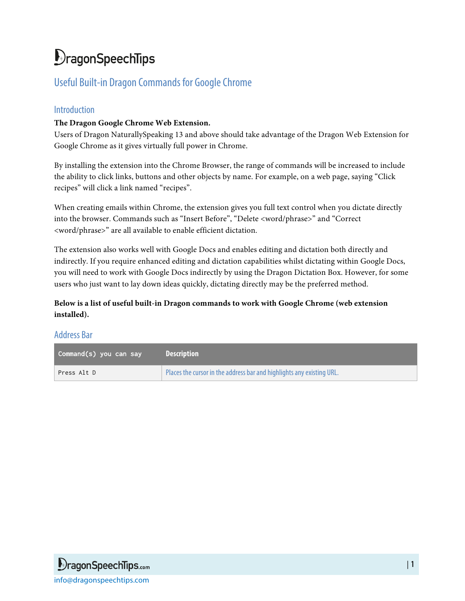# DragonSpeechTips

## Useful Built-in Dragon Commands for Google Chrome

### Introduction

#### **The Dragon Google Chrome Web Extension.**

Users of Dragon NaturallySpeaking 13 and above should take advantage of the Dragon Web Extension for Google Chrome as it gives virtually full power in Chrome.

By installing the extension into the Chrome Browser, the range of commands will be increased to include the ability to click links, buttons and other objects by name. For example, on a web page, saying "Click recipes" will click a link named "recipes".

When creating emails within Chrome, the extension gives you full text control when you dictate directly into the browser. Commands such as "Insert Before", "Delete <word/phrase>" and "Correct <word/phrase>" are all available to enable efficient dictation.

The extension also works well with Google Docs and enables editing and dictation both directly and indirectly. If you require enhanced editing and dictation capabilities whilst dictating within Google Docs, you will need to work with Google Docs indirectly by using the Dragon Dictation Box. However, for some users who just want to lay down ideas quickly, dictating directly may be the preferred method.

**Below is a list of useful built-in Dragon commands to work with Google Chrome (web extension installed).**

#### Address Bar

| Command(s) you can say | <b>Description</b>                                                    |
|------------------------|-----------------------------------------------------------------------|
| Press Alt D            | Places the cursor in the address bar and highlights any existing URL. |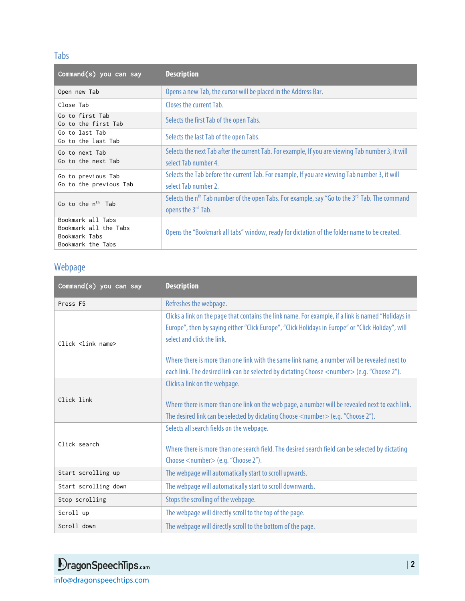### Tabs

| Command(s) you can say                                                           | <b>Description</b>                                                                                                                          |
|----------------------------------------------------------------------------------|---------------------------------------------------------------------------------------------------------------------------------------------|
| Open new Tab                                                                     | Opens a new Tab, the cursor will be placed in the Address Bar.                                                                              |
| Close Tab                                                                        | Closes the current Tab.                                                                                                                     |
| Go to first Tab<br>Go to the first Tab                                           | Selects the first Tab of the open Tabs.                                                                                                     |
| Go to last Tab<br>Go to the last Tab                                             | Selects the last Tab of the open Tabs.                                                                                                      |
| Go to next Tab<br>Go to the next Tab                                             | Selects the next Tab after the current Tab. For example, If you are viewing Tab number 3, it will<br>select Tab number 4.                   |
| Go to previous Tab<br>Go to the previous Tab                                     | Selects the Tab before the current Tab. For example, If you are viewing Tab number 3, it will<br>select Tab number 2.                       |
| Go to the n <sup>th</sup> Tab                                                    | Selects the n <sup>th</sup> Tab number of the open Tabs. For example, say "Go to the 3 <sup>rd</sup> Tab. The command<br>opens the 3rd Tab. |
| Bookmark all Tabs<br>Bookmark all the Tabs<br>Bookmark Tabs<br>Bookmark the Tabs | Opens the "Bookmark all tabs" window, ready for dictation of the folder name to be created.                                                 |

## Webpage

| Command(s) you can say | <b>Description</b>                                                                                                                                                                                                                      |
|------------------------|-----------------------------------------------------------------------------------------------------------------------------------------------------------------------------------------------------------------------------------------|
| Press F5               | Refreshes the webpage.                                                                                                                                                                                                                  |
| Click <link name=""/>  | Clicks a link on the page that contains the link name. For example, if a link is named "Holidays in<br>Europe", then by saying either "Click Europe", "Click Holidays in Europe" or "Click Holiday", will<br>select and click the link. |
|                        | Where there is more than one link with the same link name, a number will be revealed next to<br>each link. The desired link can be selected by dictating Choose <number> (e.g. "Choose 2").</number>                                    |
| Click link             | Clicks a link on the webpage.<br>Where there is more than one link on the web page, a number will be revealed next to each link.<br>The desired link can be selected by dictating Choose <number> (e.g. "Choose 2").</number>           |
| Click search           | Selects all search fields on the webpage.<br>Where there is more than one search field. The desired search field can be selected by dictating<br>Choose <number> (e.g. "Choose 2").</number>                                            |
| Start scrolling up     | The webpage will automatically start to scroll upwards.                                                                                                                                                                                 |
| Start scrolling down   | The webpage will automatically start to scroll downwards.                                                                                                                                                                               |
| Stop scrolling         | Stops the scrolling of the webpage.                                                                                                                                                                                                     |
| Scroll up              | The webpage will directly scroll to the top of the page.                                                                                                                                                                                |
| Scroll down            | The webpage will directly scroll to the bottom of the page.                                                                                                                                                                             |